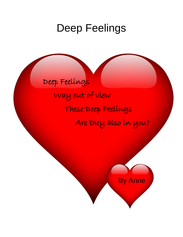# Deep Feelings

# Deep Feelings

Way out of view These Deep Feelings Are they also in you?

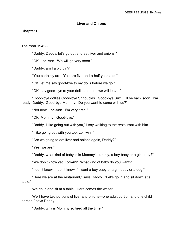#### **Liver and Onions**

#### **Chapter I**

The Year 1942--

"Daddy, Daddy, let's go out and eat liver and onions."

"OK, Lori-Ann. We will go very soon."

"Daddy, am I a big girl?"

"You certainly are. You are five-and-a-half years old."

"OK, let me say good-bye to my dolls before we go."

"OK, say good-bye to your dolls and then we will leave."

"Good-bye dollies Good-bye Shnoucles. Good-bye Suzi. I'll be back soon. I'm ready, Daddy. Good-bye Mommy. Do you want to come with us?"

"Not now, Lori-Ann. I'm very tired."

"OK, Mommy. Good-bye."

"Daddy, I like going out with you," I say walking to the restaurant with him.

"I like going out with you too, Lori-Ann."

"Are we going to eat liver and onions again, Daddy?"

"Yes, we are."

"Daddy, what kind of baby is in Mommy's tummy, a boy baby or a girl baby?"

"We don't know yet, Lori-Ann. What kind of baby do you want?"

"I don't know. I don't know if I want a boy baby or a girl baby or a dog."

"Here we are at the restaurant," says Daddy. "Let's go in and sit down at a table."

We go in and sit at a table. Here comes the waiter.

We'll have two portions of liver and onions—one adult portion and one child portion," says Daddy.

"Daddy, why is Mommy so tired all the time."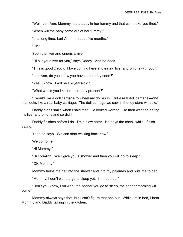"Well, Lori-Ann, Mommy has a baby in her tummy and that can make you tired."

"When will the baby come out of her tummy?"

"In a long time, Lori-Ann. In about five months."

"Oh."

Soon the liver and onions arrive.

"I'll cut your liver for you," says Daddy. And he does.

"This is good Daddy. I love coming here and eating liver and onions with you."

"Lori-Ann, do you know you have a birthday soon?"

"Yes, I know. I will be six-years-old."

"What would you like for a birthday present?"

"I would like a doll carriage to wheel my dollies in. But a real doll carriage—one that looks like a real baby carriage. The doll carriage we saw in the toy store window."

Daddy didn't smile when I said that. He looked worried. He then went on eating his liver and onions and so did I.

Daddy finishes before I do. I'm a slow eater. He pays the check while I finish eating.

Then he says, "We can start walking back now."

We go home.

"Hi Mommy."

"Hi Lori-Ann. We'll give you a shower and then you will go to sleep."

"OK Mommy."

Mommy helps me get into the shower and into my pajamas and puts me to bed.

"Mommy, I don't want to go to sleep yet. I'm not tried."

"Don't you know, Lori-Ann, the sooner you go to sleep, the sooner morning will come."

Mommy always says that, but I can't figure that one out. While I'm in bed, I hear Mommy and Daddy talking in the kitchen.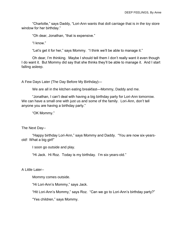"Charlotte," says Daddy, "Lori-Ann wants that doll carriage that is in the toy store window for her birthday."

"Oh dear, Jonathan, "that is expensive."

"I know."

"Let's get it for her," says Mommy. "I think we'll be able to manage it."

Oh dear, I'm thinking. Maybe I should tell them I don't really want it even though I do want it. But Mommy did say that she thinks they'll be able to manage it. And I start falling asleep.

A Few Days Later (The Day Before My Birthday)—

We are all in the kitchen eating breakfast—Mommy, Daddy and me.

"Jonathan, I can't deal with having a big birthday party for Lori-Ann tomorrow. We can have a small one with just us and some of the family. Lori-Ann, don't tell anyone you are having a birthday party."

"OK Mommy."

The Next Day--

"Happy birthday Lori-Ann," says Mommy and Daddy. "You are now six-yearsold! What a big girl!"

I soon go outside and play.

"Hi Jack. Hi Roz. Today is my birthday. I'm six-years-old."

A Little Later--

Mommy comes outside.

"Hi Lori-Ann's Mommy," says Jack.

"Hit Lori-Ann's Mommy," says Roz. "Can we go to Lori-Ann's birthday party?"

"Yes children," says Mommy.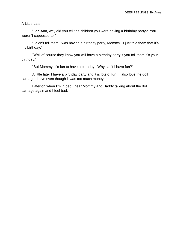A Little Later--

"Lori-Ann, why did you tell the children you were having a birthday party? You weren't supposed to."

"I didn't tell them I was having a birthday party, Mommy. I just told them that it's my birthday."

"Well of course they know you will have a birthday party if you tell them it's your birthday."

"But Mommy, it's fun to have a birthday. Why can't I have fun?"

A little later I have a birthday party and it is lots of fun. I also love the doll carriage I have even though it was too much money.

Later on when I'm in bed I hear Mommy and Daddy talking about the doll carriage again and I feel bad.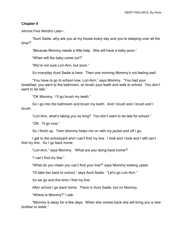#### **Chapter II**

Almost Five Months Later--

"Aunt Sadie, why are you at my house every day and you're sleeping over all the time?"

"Because Mommy needs a little help. She will have a baby soon."

"When will the baby come out?"

"We're not sure Lori-Ann, but soon."

So everyday Aunt Sadie is here. Then one morning Mommy's not feeling well.

"You have to go to school now, Lori-Ann," says Mommy. "You had your breakfast, you went to the bathroom, so brush your teeth and walk to school. You don't want to be late."

"OK Mommy. I'll go brush my teeth."

So I go into the bathroom and brush my teeth. And I brush and I brush and I brush.

"Lori-Ann, what's taking you so long? You don't want to be late for school."

"OK. I'll go now."

So I finish up. Then Mommy helps me on with my jacket and off I go.

I get to the schoolyard and I can't find my line. I look and I look and I still can't find my line. So I go back home.

"Lori-Ann," says Mommy. "What are you doing back home?"

"I can't find my line."

"What do you mean you can't find your line?" says Mommy looking upset.

"I'll take her back to school," says Aunt Sadie. "Let's go Lori-Ann."

So we go and this time I find my line.

After school I go back home. There is Aunt Sadie, but no Mommy.

"Where is Mommy?" I ask.

"Mommy is away for a few days. When she comes back she will bring you a new brother or sister."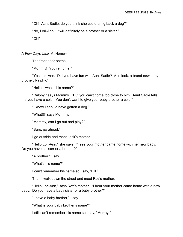"Oh! Aunt Sadie, do you think she could bring back a dog?"

"No, Lori-Ann. It will definitely be a brother or a sister."

"Oh!"

A Few Days Later At Home--

The front door opens.

"Mommy! You're home!"

"Yes Lori-Ann. Did you have fun with Aunt Sadie? And look, a brand new baby brother, Ralphy."

"Hello—what's his name?"

"Ralphy," says Mommy. "But you can't come too close to him. Aunt Sadie tells me you have a cold. You don't want to give your baby brother a cold."

"I knew I should have gotten a dog."

"What!!!" says Mommy.

"Mommy, can I go out and play?"

"Sure, go ahead."

I go outside and meet Jack's mother.

"Hello Lori-Ann," she says. "I see your mother came home with her new baby. Do you have a sister or a brother?"

"A brother," I say.

"What's his name?"

I can't remember his name so I say, "Bill."

Then I walk down the street and meet Roz's mother.

"Hello Lori-Ann," says Roz's mother. "I hear your mother came home with a new baby. Do you have a baby sister or a baby brother?"

"I have a baby brother," I say.

"What is your baby brother's name?"

I still can't remember his name so I say, "Murray."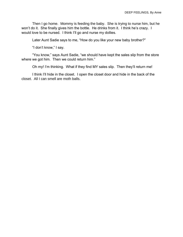Then I go home. Mommy is feeding the baby. She is trying to nurse him, but he won't do it. She finally gives him the bottle. He drinks from it. I think he's crazy. I would love to be nursed. I think I'll go and nurse my dollies.

Later Aunt Sadie says to me, "How do you like your new baby brother?"

"I don't know," I say.

"You know," says Aunt Sadie, "we should have kept the sales slip from the store where we got him. Then we could return him."

Oh my! I'm thinking. What if they find MY sales slip. Then they'll return me!

I think I'll hide in the closet. I open the closet door and hide in the back of the closet. All I can smell are moth balls.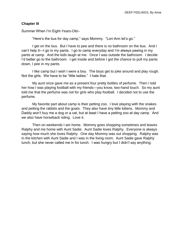#### **Chapter III**

Summer When I'm Eight-Years-Old--

"Here's the bus for day camp," says Mommy. "Lori-Ann let's go."

I get on the bus. But I have to pee and there is no bathroom on the bus. And I can't help it—I go in my pants. I go to camp everyday and I'm always peeing in my pants at camp. And the kids laugh at me. Once I was outside the bathroom. I decide I'd better go to the bathroom. I get inside and before I got the chance to pull my pants down, I pee in my pants.

I like camp but I wish I were a boy. The boys get to joke around and play rough. Not the girls. We have to be "little ladies." I hate that.

My aunt once gave me as a present four pretty bottles of perfume. Then I told her how I was playing football with my friends—you know, two-hand touch. So my aunt told me that the perfume was not for girls who play football. I decided not to use the perfume.

My favorite part about camp is their petting zoo. I love playing with the snakes and petting the rabbits and the goats. They also have tiny little kittens. Mommy and Daddy won't buy me a dog or a cat, but at least I have a petting zoo at day camp. And we also have horseback riding. Love it.

Then on weekends I am home. Mommy goes shopping sometimes and leaves Ralphy and me home with Aunt Sadie. Aunt Sadie loves Ralphy. Everyone is always saying how much she loves Ralphy. One day Mommy was out shopping. Ralphy was in the kitchen with Aunt Sadie and I was in the living room. Aunt Sadie gave Ralphy lunch, but she never called me in for lunch. I was hungry but I didn't say anything.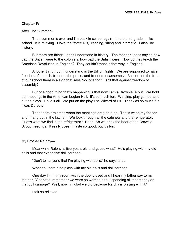#### **Chapter IV**

After The Summer--

Then summer is over and I'm back in school again—in the third grade. I like school. It is relaxing. I love the "three R's," reading, 'riting and 'rithmetic. I also like history.

But there are things I don't understand in history. The teacher keeps saying how bad the British were to the colonists, how bad the British were. How do they teach the American Revolution in England? They couldn't teach it that way in England.

Another thing I don't understand is the Bill of Rights. We are supposed to have freedom of speech, freedom the press, and freedom of assembly. But outside the front of our school there is a sign that says "no loitering." Isn't that against freedom of assembly?

But one good thing that's happening is that now I am a Brownie Scout. We hold our meetings in the American Legion Hall. It's so much fun. We sing, play games, and put on plays. I love it all. We put on the play The Wizard of Oz. That was so much fun. I was Dorothy.

Then there are times when the meetings drag on a bit. That's when my friends and I hang out in the kitchen. We look through all the cabinets and the refrigerator. Guess what we find in the refrigerator? Beer! So we drink the beer at the Brownie Scout meetings. It really doesn't taste so good, but it's fun.

My Brother Ralphy—

Meanwhile Ralphy is five-years-old and guess what? He's playing with my old dolls and that expensive doll carriage.

"Don't tell anyone that I'm playing with dolls," he says to us.

What do I care if he plays with my old dolls and doll carriage.

One day I'm in my room with the door closed and I hear my father say to my mother, "Charlotte, remember we were so worried about spending all that money on that doll carriage? Well, now I'm glad we did because Ralphy is playing with it."

I felt so relieved.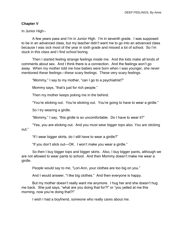#### **Chapter V**

In Junior High--

A few years pass and I'm in Junior High. I'm in seventh grade. I was supposed to be in an advanced class, but my teacher didn't want me to go into an advanced class because I was sick most of the year in sixth grade and missed a lot of school. So I'm stuck in this class and I find school boring.

Then I started feeling strange feelings inside me. And the kids make all kinds of comments about sex. And I think there is a connection. And the feelings won't go away. When my mother told me how babies were born when I was younger, she never mentioned these feelings—these scary feelings. These very scary feelings.

"Mommy," I say to my mother, "can I go to a psychiatrist?"

Mommy says, "that's just for rich people."

Then my mother keeps poking me in the behind.

"You're sticking out. You're sticking out. You're going to have to wear a girdle."

So I try wearing a girdle.

"Mommy," I say, "this girdle is so uncomfortable. Do I have to wear it?"

"Yes, you are sticking out. And you must wear bigger tops also. You are sticking out."

"If I wear bigger skirts, do I still have to wear a girdle?"

"If you don't stick out—OK. I won't make you wear a girdle."

So then I buy bigger tops and bigger skirts. Also, I buy bigger pants, although we are not allowed to wear pants to school. And then Mommy doesn't make me wear a girdle.

People would say to me, "Lori-Ann, your clothes are too big on you."

And I would answer, "I like big clothes." And then everyone is happy.

But my mother doesn't really want me anymore. I hug her and she doesn't hug me back. She just says, "what are you doing that for?!" or "you yelled at me this morning, now you're doing that?!"

I wish I had a boyfriend, someone who really cares about me.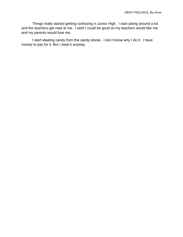Things really started getting confusing in Junior High. I start joking around a lot and the teachers get mad at me. I wish I could be good so my teachers would like me and my parents would love me.

I start stealing candy from the candy stores. I don't know why I do it. I have money to pay for it. But I steal it anyway.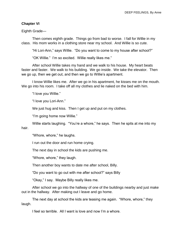#### **Chapter VI**

Eighth Grade—

Then comes eighth grade. Things go from bad to worse. I fall for Willie in my class. His mom works in a clothing store near my school. And Willie is so cute.

"Hi Lori-Ann," says Willie. "Do you want to come to my house after school?"

"OK Willie." I'm so excited. Willie really likes me."

After school Willie takes my hand and we walk to his house. My heart beats faster and faster. We walk to his building. We go inside. We take the elevator. Then we go up, then we get out, and then we go to Willie's apartment.

I know Willie likes me. After we go in his apartment, he kisses me on the mouth. We go into his room. I take off all my clothes and lie naked on the bed with him.

"I love you Willie."

"I love you Lori-Ann."

We just hug and kiss. Then I get up and put on my clothes.

"I'm going home now Willie."

Willie starts laughing. "You're a whore," he says. Then he spits at me into my hair.

"Whore, whore," he laughs.

I run out the door and run home crying.

The next day in school the kids are pushing me.

"Whore, whore," they laugh.

Then another boy wants to date me after school, Billy.

"Do you want to go out with me after school?" says Billy

"Okay," I say. Maybe Billy really likes me.

After school we go into the hallway of one of the buildings nearby and just make out in the hallway. After making out I leave and go home.

The next day at school the kids are teasing me again. "Whore, whore," they laugh.

I feel so terrible. All I want is love and now I'm a whore.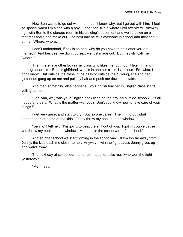Now Ben wants to go out with me. I don't know why, but I go out with him. I feel so special when I'm alone with a boy. I don't feel like a whore until afterward. Anyway, I go with Ben to the storage room in his building's basement and we lie down on a mattress there and make out. The next day he tells everyone in school and they shout at me, "Whore, whore."

I don't understand, if sex is so bad, why do you have to do it after you are married? And besides, we didn't do sex, we just made out. But they still call me "whore."

Then there is another boy in my class who likes me, but I don't like him and I don't go near him. But his girlfriend, who is in another class, is jealous. For what, I don't know. But outside the class in the halls or outside the building, she and her girlfriends gang up on me and pull my hair and push me down the stairs.

And then something else happens. My English teacher in English class starts yelling at me.

"Lori-Ann, why was your English book lying on the ground outside school? It's all ripped and dirty. What is the matter with you? Don't you know how to take care of your things?"

I get very upset and start to cry. But no one cares. Then I find out what happened from some of the kids. Jenny threw my book out the window.

"Jenny," I tell her. "I'm going to beat the shit out of you. I got in trouble cause you threw my book out the window. Meet me in the schoolyard after school."

And so after school we start fighting in the schoolyard. If I'm too far away from Jenny, the kids push me closer to her. Anyway, I win the fight cause Jenny gives up and walks away.

The next day at school our home room teacher asks me, "who won the fight yesterday?"

"Me," I say.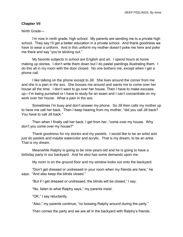#### **Chapter VII**

Ninth Grade—

I'm now in ninth grade, high school. My parents are sending me to a private high school. They say I'll get a better education in a private school. And thank goodness we have to wear a uniform. And in this uniform my mother doesn't poke me here and poke me there and say "you're sticking out."

My favorite subjects in school are English and art. I spend hours at home making up stories. I don't write them down but I do pastel paintings illustrating them. I do this all in my room with the door closed. No one bothers me, except when I get a phone call.

I like talking on the phone except to Jill. She lives around the corner from me and she is a pain in the ass. She bosses me around and wants me to come over her house all the time. I don't want to go over her house. Then I have to make excuses up—I'm being punished or I have to study for an exam and I can't concentrate on my work over her house. What a pain in the ass.

Sometimes I'm busy and don't answer my phone. So Jill then calls my mother up to have me call her back. Then I keep hearing from my mother, "did you call Jill back? You have to call Jill back."

Then when I finally call her back, I get from her, "come over my house. Why don't you come over my house?"

Thank goodness for my stories and my pastels. I would like to be an artist and just do pastels and maybe watercolor and acrylic. That is my dream, to be an artist. That is my dream.

Meanwhile Ralphy is going to be nine-years-old and he is going to have a birthday party in our backyard. And he also has some demands upon me.

My room is on the ground floor and my window looks out onto the backyard.

"Don't get dressed or undressed in your room when my friends are here," he says. "And also keep the blinds closed."

"But if I get dressed or undressed, the blinds will be closed," I say.

"No, listen to what Ralphy says," my parents insist.

"OK," I say reluctantly.

"Also," my parents continue, "no bossing Ralphy around during the party."

Then comes the party and we are all in the backyard with Ralphy's friends.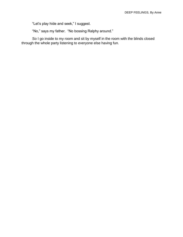"Let's play hide and seek," I suggest.

"No," says my father. "No bossing Ralphy around."

So I go inside to my room and sit by myself in the room with the blinds closed through the whole party listening to everyone else having fun.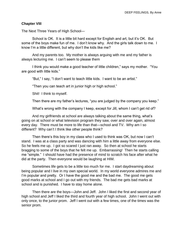#### **Chapter VIII**

The Next Three Years of High School—

School is OK. It is a little bit hard except for English and art, but it's OK. But some of the boys make fun of me. I don't know why. And the girls talk down to me. I know I'm a little different, but why don't the kids like me?

And my parents too. My mother is always arguing with me and my father is always lecturing me. I can't seem to please them

I think you would make a good teacher of little children," says my mother. "You are good with little kids."

"But," I say, "I don't want to teach little kids. I want to be an artist."

"Then you can teach art in junior high or high school."

Shit! I think to myself.

Then there are my father's lectures, "you are judged by the company you keep."

What's wrong with the company I keep, except for Jill, whom I can't get rid of?

And my girlfriends at school are always talking about the same thing, what's going on at school or what television program they saw, over and over again, almost every day. There must be more to life than that—school and TV. Why am I so different? Why can't I think like other people think?

Then there's this boy in my class who I used to think was OK, but now I can't stand. I was at a class party and was dancing with him a little away from everyone else. So he feels me up. I got so scared I just ran away. So then at school he starts bragging to some of the boys that he felt me up. Embarrassing! Then he starts calling me "simple." I should have had the presence of mind to scratch his face after what he did at the party. Then everyone would be laughing at HIM.

Sometimes life gets to be a little too much for me. I start daydreaming about being popular and I live in my own special world. In my world everyone admires me and I'm popular and pretty. Or I have the good me and the bad me. The good me gets good marks at school and I go out with my friends. The bad me gets bad marks at school and is punished. I have to stay home alone.

Then there are the boys—John and Jeff. John I liked the first and second year of high school and Jeff I liked the third and fourth year of high school. John I went out with only once, to the junior prom. Jeff I went out with a few times, one of the times was the senior prom.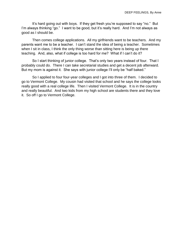It's hard going out with boys. If they get fresh you're supposed to say "no." But I'm always thinking "go." I want to be good, but it's really hard. And I'm not always as good as I should be.

Then comes college applications. All my girlfriends want to be teachers. And my parents want me to be a teacher. I can't stand the idea of being a teacher. Sometimes when I sit in class, I think the only thing worse than sitting here is being up there teaching. And, also, what if college is too hard for me? What if I can't do it?

So I start thinking of junior college. That's only two years instead of four. That I probably could do. There I can take secretarial studies and get a decent job afterward. But my mom is against it. She says with junior college I'll only be "half baked."

So I applied to four four-year colleges and I got into three of them. I decided to go to Vermont College. My cousin had visited that school and he says the college looks really good with a real college life. Then I visited Vermont College. It is in the country and really beautiful. And two kids from my high school are students there and they love it. So off I go to Vermont College.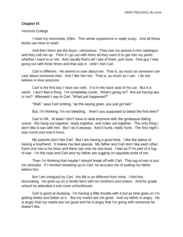#### **Chapter IX**

#### Vermont College

I meet my roommate, Ellen. This whole experience is really scary. And all these books we have to read!

And then there are the boys—obnoxious. They see my picture in the catalogue and they call me up. Then if I go out with them all they want is to get into my pants whether I want to or not. And usually that's all I see of them, just once. One guy I was going out with three times and that was it. Until I met Carl.

Carl is different. He seems to care about me. That is, as much as someone can care about someone else. And I like him too. That is, as much as I can. I do not believe in love anymore.

Carl is the first boy I have sex with. It is in the back seat of his car. But it is weird. I don't feel a thing. I'm completely numb. What's going on? Are we having sex or not? Afterward I say to Carl, "What just happened?"

"Well," says Carl smiling, "as the saying goes, you just got laid."

But, I'm thinking, I'm not bleeding. Aren't you supposed to bleed the first time?"

Carl is OK. At least I don't have to deal anymore with the grotesque dating scene. We hang out together, study together, and make out together. The only thing I don't like is sex with him. But I do it anyway. And it hurts, really hurts. The first night I was numb and now it hurts.

My parents don't like Carl. But I am having a good time. I like the status of having a boyfriend. It makes me feel special. My father and Carl don't like each other. Each one has to be boss and there can only be one boss. I feel as if I'm part of a tugof-war. I'm the rope and Carl and my father are tugging on opposite ends of me.

Then I'm thinking that maybe I should break off with Carl. This tug-of-war is just too stressful. If I mention breaking up to Carl, he accuses me of putting my father before him.

But I am intrigued by Carl. His life is so different from mine. I find this fascinating. He grew up on a family farm with ten brothers and sisters. And for grade school he attended a one-room schoolhouse.

Carl is good at studying. I'm having a little trouble with it but as time goes on I'm getting better and better at it. But my marks are not good. And my father is angry. He is angry that my marks are not good and he is angry that I'm going with someone he doesn't like.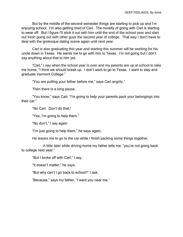But by the middle of the second semester things are starting to pick up and I'm enjoying school. I'm also getting tired of Carl. The novelty of going with Carl is starting to wear off. But I figure I'll stick it out with him until the end of the school year and start out fresh going out with other guys the second year of college. That way I don't have to deal with the grotesque dating scene again until next year.

Carl is also graduating this year and starting this summer will be working for his uncle down in Texas. He wants me to go with him to Texas. I'm not going but I don't say anything about that to him yet.

"Carl," I say when the school year is over and my parents are up at school to take me home, "I think we should break up. I don't want to go to Texas. I want to stay and graduate Vermont College."

"You are putting your father before me," says Carl angrily."

Then there is a long pause.

"You know," says Carl, "I'm going to help your parents pack your belongings into their car."

"No Carl. Don't do that."

"Yes, I'm going to help them."

"No don't," I say again

"I'm just going to help them," he says again.

He leaves me to go to the car while I finish packing some things together.

A little later while driving home my father tells me, "you're not going back to college next year."

"But I broke off with Carl," I say.

"It doesn't matter," he says.

"But why can't I go back to school?" I ask.

"Because," says my father, "I want you near me."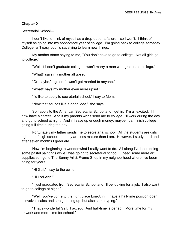# **Chapter X**

Secretarial School—

I don't like to think of myself as a drop-out or a failure—so I won't. I think of myself as going into my sophomore year of college. I'm going back to college someday. College isn't easy but it's satisfying to learn new things.

My mother starts saying to me, "You don't have to go to college. Not all girls go to college."

"Well, if I don't graduate college, I won't marry a man who graduated college."

"What!" says my mother all upset.

"Or maybe," I go on, "I won't get married to anyone."

"What!" says my mother even more upset."

"I'd like to apply to secretarial school," I say to Mom.

"Now that sounds like a good idea," she says.

So I apply to the American Secretarial School and I get in. I'm all excited. I'll now have a career. And if my parents won't send me to college, I'll work during the day and go to school at night. And if I save up enough money, maybe I can finish college going full time during the day.

Fortunately my father sends me to secretarial school. All the students are girls right out of high school and they are less mature than I am. However, I study hard and after seven months I graduate.

Now I'm beginning to wonder what I really want to do. All along I've been doing some pastel paintings while I was going to secretarial school. I need some more art supplies so I go to The Sunny Art & Frame Shop in my neighborhood where I've been going for years.

"Hi Gail," I say to the owner.

"Hi Lori-Ann."

"I just graduated from Secretarial School and I'll be looking for a job. I also want to go to college at night."

"Well, you've come to the right place Lori-Ann. I have a half-time position open. It involves sales and straightening up, but also some typing."

"That's wonderful Gail. I accept. And half-time is perfect. More time for my artwork and more time for school."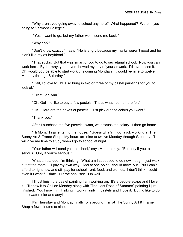"Why aren't you going away to school anymore? What happened? Weren't you going to Vermont College?"

"Yes, I want to go, but my father won't send me back."

"Why not?"

"Don't know exactly," I say. "He is angry because my marks weren't good and he didn't like my ex-boyfriend."

"That sucks. But that was smart of you to go to secretarial school. Now you can work here. By the way, you never showed my any of your artwork. I'd love to see it. Oh, would you be able to start work this coming Monday? It would be nine to twelve Monday through Saturday."

"Gail, I'd love to. I'll also bring in two or three of my pastel paintings for you to look at."

"Great Lori-Ann."

"Oh, Gail, I'd like to buy a few pastels. That's what I came here for."

"OK. Here are the boxes of pastels. Just pick out the colors you want."

"Thank you."

After I purchase the five pastels I want, we discuss the salary. I then go home.

"Hi Mom," I say entering the house. "Guess what?! I got a job working at The Sunny Art & Frame Shop. My hours are nine to twelve Monday through Saturday. That will give me time to study when I go to school at night."

"Your father will send you to school," says Mom sternly. "But only if you're serious. Only if you're serious."

What an attitude, I'm thinking. What am I supposed to do now—beg. I just walk out of the room. I'll pay my own way. And at one point I should move out. But I can't afford to right now and still pay for school, rent, food, and clothes. I don't think I could even if I work full time. But we shall see. Oh well.

I'll just finish the pastel painting I am working on. It's a people-scape and I love it. I'll show it to Gail on Monday along with "The Last Rose of Summer" painting I just finished. You know, I'm thinking, I work mainly in pastels and I love it. But I'd like to do more watercolor and acrylic.

It's Thursday and Monday finally rolls around. I'm at The Sunny Art & Frame Shop a few minutes to nine.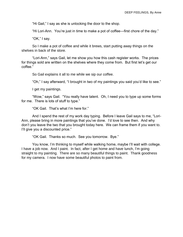"Hi Gail," I say as she is unlocking the door to the shop.

"Hi Lori-Ann. You're just in time to make a pot of coffee—first chore of the day."

"OK," I say.

So I make a pot of coffee and while it brews, start putting away things on the shelves in back of the store.

"Lori-Ann," says Gail, let me show you how this cash register works. The prices for things sold are written on the shelves where they come from. But first let's get our coffee."

So Gail explains it all to me while we sip our coffee.

"Oh," I say afterward, "I brought in two of my paintings you said you'd like to see."

I get my paintings.

"Wow," says Gail. "You really have talent. Oh, I need you to type up some forms for me. There is lots of stuff to type."

"OK Gail. That's what I'm here for."

And I spend the rest of my work day typing. Before I leave Gail says to me, "Lori-Ann, please bring in more paintings that you've done. I'd love to see then. And why don't you leave the two that you brought today here. We can frame them if you want to. I'll give you a discounted price."

"OK Gail. Thanks so much. See you tomorrow. Bye."

You know, I'm thinking to myself while walking home, maybe I'll wait with college. I have a job now. And I paint. In fact, after I get home and have lunch, I'm going straight to my painting. There are so many beautiful things to paint. Thank goodness for my camera. I now have some beautiful photos to paint from.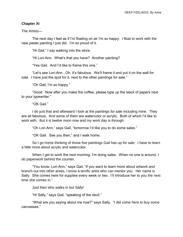#### **Chapter XI**

The Artists—

The next day I feel as if I'm floating on air I'm so happy. I float to work with the new pastel painting I just did. I'm so proud of it.

"Hi Gail," I say walking into the store.

"Hi Lori-Ann. What's that you have? Another painting?

"Yes Gail. And I'd like to frame this one."

"Let's see Lori-Ann...Oh, it's fabulous. We'll frame it and put it on the wall for sale. I have just the spot for it, next to the other paintings for sale."

"Oh Gail, I'm so happy."

"Good. Now after you make the coffee, please type up the stack of papers next to your typewriter."

"OK Gail."

I do just that and afterward I look at the paintings for sale including mine. They are all fabulous. And some of them are watercolor or acrylic. Both of which I'd like to work with. But it is twelve noon now and my work day is through.

"Oh Lori-Ann," says Gail, "tomorrow I'd like you to do some sales."

"OK Gail. See you then," and I walk home.

So I go home thinking of those five paintings Gail has up for sale. I have to learn a little more about acrylic and watercolor.

When I get to work the next morning, I'm doing sales. When no one is around, I do paperwork behind the counter.

"You know, Lori-Ann," says Gail, "if you want to learn more about artwork and branch out into other areas, I know a terrific artist who can mentor you. Her name is Sally. She comes here for supplies every week or two. I'll introduce her to you the next time she comes in."

Just then who walks in but Sally!

"Hi Sally," says Gail, "speaking of the devil."

"What are you saying about me now?" says Sally. "I did come here to buy some canvasses."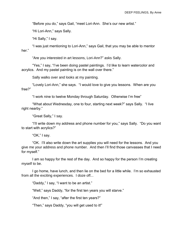"Before you do," says Gail, "meet Lori-Ann. She's our new artist."

"Hi Lori-Ann," says Sally.

"Hi Sally," I say.

"I was just mentioning to Lori-Ann," says Gail, that you may be able to mentor her"

"Are you interested in art lessons, Lori-Ann?" asks Sally.

"Yes," I say, "I've been doing pastel paintings. I'd like to learn watercolor and acrylics. And my pastel painting is on the wall over there."

Sally walks over and looks at my painting.

"Lovely Lori-Ann," she says. "I would love to give you lessons. When are you free?"

"I work nine to twelve Monday through Saturday. Otherwise I'm free"

"What about Wednesday, one to four, starting next week?" says Sally. "I live right nearby."

"Great Sally," I say.

"I'll write down my address and phone number for you," says Sally. "Do you want to start with acrylics?"

"OK," I say.

"OK. I'll also write down the art supplies you will need for the lessons. And you give me your address and phone number. And then I'll find those canvasses that I need for myself."

I am so happy for the rest of the day. And so happy for the person I'm creating myself to be.

I go home, have lunch, and then lie on the bed for a little while. I'm so exhausted from all the exciting experiences. I doze off...

"Daddy," I say, "I want to be an artist."

"Well," says Daddy, "for the first ten years you will starve."

"And then," I say, "after the first ten years?"

"Then," says Daddy, "you will get used to it!"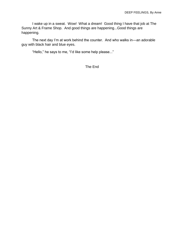I wake up in a sweat. Wow! What a dream! Good thing I have that job at The Sunny Art & Frame Shop. And good things are happening...Good things are happening.

The next day I'm at work behind the counter. And who walks in—an adorable guy with black hair and blue eyes.

"Hello," he says to me, "I'd like some help please..."

The End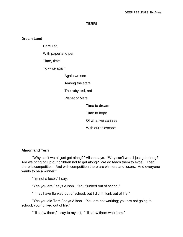#### **TERRI**

#### **Dream Land**

Here I sit

With paper and pen

Time, time

To write again

Again we see

Among the stars

The ruby red, red

Planet of Mars

Time to dream

Time to hope

Of what we can see

With our telescope

#### **Alison and Terri**

"Why can't we all just get along?" Alison says. "Why can't we all just get along? Are we bringing up our children not to get along? We do teach them to excel. Then there is competition. And with competition there are winners and losers. And everyone wants to be a winner."

"I'm not a loser," I say.

"Yes you are," says Alison. "You flunked out of school."

"I may have flunked out of school, but I didn't flunk out of life."

"Yes you did Terri," says Alison. "You are not working; you are not going to school; you flunked out of life."

"I'll show them," I say to myself. "I'll show them who I am."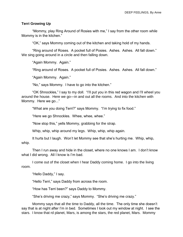#### **Terri Growing Up**

"Mommy, play Ring Around of Rosies with me," I say from the other room while Mommy is in the kitchen."

"OK," says Mommy coming out of the kitchen and taking hold of my hands.

"Ring around of Roses. A pocket full of Posies. Ashes. Ashes. All fall down." We sing going around in a circle and then falling down.

"Again Mommy. Again."

"Ring around of Roses. A pocket full of Posies. Ashes. Ashes. All fall down."

"Again Mommy. Again."

"No," says Mommy. I have to go into the kitchen."

"OK Shnockles," I say to my doll. "I'll put you in this red wagon and I'll wheel you around the house. Here we go—in and out all the rooms. And into the kitchen with Mommy. Here we go..."

"What are you doing Terri?" says Mommy. "I'm trying to fix food."

"Here we go Shnockles. Whee, whee, whee."

"Now stop this," yells Mommy, grabbing for the strap.

Whip, whip, whip around my legs. Whip, whip, whip again.

It hurts but I laugh. Won't let Mommy see that she's hurting me. Whip, whip, whip.

Then I run away and hide in the closet, where no one knows I am. I don't know what I did wrong. All I know is I'm bad.

I come out of the closet when I hear Daddy coming home. I go into the living room.

"Hello Daddy," I say.

"Hello Terri," says Daddy from across the room.

"How has Terri been?" says Daddy to Mommy.

"She's driving me crazy," says Mommy. "She's driving me crazy."

Mommy says that all the time to Daddy, all the time. The only time she doesn't say that is at night after I'm in bed. Sometimes I look out my window at night. I see the stars. I know that rd planet, Mars, is among the stars, the red planet, Mars. Mommy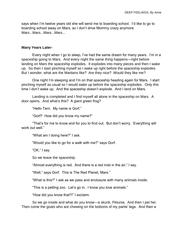says when I'm twelve years old she will send me to boarding school. I'd like to go to boarding school away on Mars, so I don't drive Mommy crazy anymore. Mars...Mars...Mars...Mars...

#### **Many Years Later-**

Every night when I go to sleep, I've had the same dream for many years. I'm in a spaceship going to Mars. And every night the same thing happens—right before landing on Mars the spaceship explodes. It explodes into many pieces and then I wake up. So then I start pinching myself so I wake up right before the spaceship explodes. But I wonder, what are the Martians like? Are they nice? Would they like me?

One night I'm sleeping and I'm on that spaceship heading again for Mars. I start pinching myself as usual so I would wake up before the spaceship explodes. Only this time I don't wake up. And the spaceship doesn't explode. And I land on Mars.

Landing is completed and I find myself all alone in the spaceship on Mars. A door opens. And what's this? A giant green frog?

"Hello Terri. My name is Gorf."

"Gorf? How did you know my name?"

"That's for me to know and for you to find out. But don't worry. Everything will work out well."

"What am I doing here?" I ask.

"Would you like to go for a walk with me?" says Gorf.

"OK," I say.

So we leave the spaceship.

"Almost everything is red. And there is a red mist in the air," I say.

"Well," says Gorf. This is The Red Planet, Mars."

"What is this?" I ask as we pass and enclosure with many animals inside.

"This is a petting zoo. Let's go in. I know you love animals."

"How did you know that?!" I exclaim.

So we go inside and what do you know—a skunk, Petunia. And then I pet her. Then come the goats who are chewing on the bottoms of my pants' legs. And then a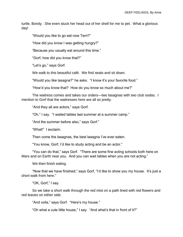turtle, Bondy. She even stuck her head out of her shell for me to pet. What a glorious day!

"Would you like to go eat now Terri?"

"How did you know I was getting hungry?"

"Because you usually eat around this time."

"Gorf, how did you know that?"

"Let's go," says Gorf.

We walk to this beautiful café. We find seats and sit down.

"Would you like lasagna?" he asks. "I know it's your favorite food."

"How'd you know that? How do you know so much about me?"

The waitress comes and takes our orders—two lasagnas with two club sodas. I mention to Gorf that the waitresses here are all so pretty.

"And they all are actors," says Gorf.

"Oh," I say. "I waited tables last summer at a summer camp."

"And the summer before also," says Gorf."

"What!" I exclaim.

Then come the lasagnas, the best lasagna I've ever eaten.

"You know, Gorf, I'd like to study acting and be an actor."

"You can do that," says Gorf. "There are some fine acting schools both here on Mars and on Earth near you. And you can wait tables when you are not acting."

We then finish eating.

"Now that we have finished," says Gorf, "I'd like to show you my house. It's just a short walk from here."

"OK, Gorf," I say.

So we take a short walk through the red mist on a path lined with red flowers and red leaves on either side.

"And voila," says Gorf. "Here's my house."

"Oh what a cute little house," I say. "And what's that in front of it?"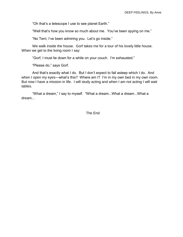"Oh that's a telescope I use to see planet Earth."

"Well that's how you know so much about me. You've been spying on me."

"No Terri, I've been admiring you. Let's go inside."

We walk inside the house. Gorf takes me for a tour of his lovely little house. When we get to the living room I say:

"Gorf, I must lie down for a while on your couch. I'm exhausted."

"Please do," says Gorf.

And that's exactly what I do. But I don't expect to fall asleep which I do. And when I open my eyes—what's this? Where am I? I'm in my own bed in my own room. But now I have a mission in life. I will study acting and when I am not acting I will wait tables.

"What a dream," I say to myself. "What a dream...What a dream...What a dream...

The End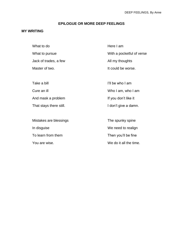# **EPILOGUE OR MORE DEEP FEELINGS**

# **MY WRITING**

| What to do              | Here I am                 |
|-------------------------|---------------------------|
| What to pursue          | With a pocketful of verse |
| Jack of trades, a few   | All my thoughts           |
| Master of two.          | It could be worse.        |
|                         |                           |
| Take a bill             | I'll be who I am          |
| Cure an ill             | Who I am, who I am        |
| And mask a problem      | If you don't like it      |
| That stays there still. | I don't give a damn.      |
|                         |                           |
| Mistakes are blessings  | The spunky spine          |
| In disguise             | We need to realign        |
| To learn from them      | Then you'll be fine       |
| You are wise.           | We do it all the time.    |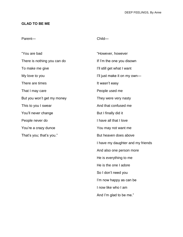# **GLAD TO BE ME**

# Parent—

# Child—

And I'm glad to be me."

| "You are bad                | "However, however                 |
|-----------------------------|-----------------------------------|
| There is nothing you can do | If I'm the one you disown         |
| To make me give             | I'll still get what I want        |
| My love to you              | I'll just make it on my own-      |
| There are times             | It wasn't easy                    |
| That I may care             | People used me                    |
| But you won't get my money  | They were very nasty              |
| This to you I swear         | And that confused me              |
| You'll never change         | But I finally did it              |
| People never do             | I have all that I love            |
| You're a crazy dunce        | You may not want me               |
| That's you; that's you."    | But heaven does above             |
|                             | I have my daughter and my friends |
|                             | And also one person more          |
|                             | He is everything to me            |
|                             | He is the one I adore             |
|                             | So I don't need you               |
|                             | I'm now happy as can be           |
|                             | I now like who I am               |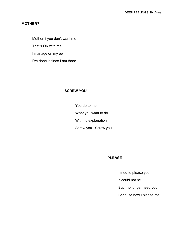# **MOTHER?**

Mother if you don't want me That's OK with me I manage on my own I've done it since I am three.

## **SCREW YOU**

You do to me What you want to do With no explanation Screw you. Screw you.

#### **PLEASE**

I tried to please you

It could not be

But I no longer need you

Because now I please me.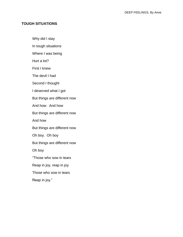# **TOUGH SITUATIONS**

Why did I stay

In tough situations

Where I was being

Hurt a lot?

First I knew

The devil I had

Second I thought

I deserved what I got

But things are different now

And how. And how

But things are different now

And how

But things are different now

Oh boy. Oh boy

But things are different now

Oh boy

"Those who sow in tears

Reap in joy, reap in joy

Those who sow in tears

Reap in joy."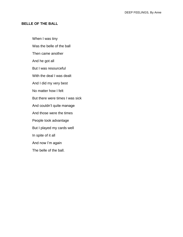# **BELLE OF THE BALL**

When I was tiny Was the belle of the ball Then came another And he got all But I was resourceful With the deal I was dealt And I did my very best No matter how I felt But there were times I was sick And couldn't quite manage And those were the times People took advantage But I played my cards well In spite of it all And now I'm again The belle of the ball.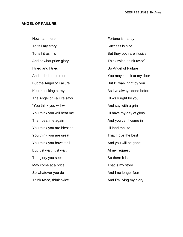#### **ANGEL OF FAILURE**

Now I am here To tell my story To tell it as it is And at what price glory I tried and I tried And I tried some more But the Angel of Failure Kept knocking at my door The Angel of Failure says "You think you will win You think you will beat me Then beat me again You think you are blessed You think you are great You think you have it all But just wait, just wait The glory you seek May come at a price So whatever you do Think twice, think twice Fortune is handy Success is nice But they both are illusive Think twice, think twice" So Angel of Failure You may knock at my door But I'll walk right by you As I've always done before I'll walk right by you And say with a grin I'll have my day of glory And you can't come in I'll lead the life That I love the best And you will be gone At my request So there it is That is my story And I no longer fear— And I'm living my glory.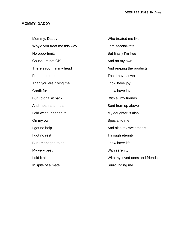# **MOMMY, DADDY**

| Mommy, Daddy                | Who treated me like            |
|-----------------------------|--------------------------------|
| Why'd you treat me this way | I am second-rate               |
| No opportunity              | But finally I'm free           |
| Cause I'm not OK            | And on my own                  |
| There's room in my head     | And reaping the products       |
| For a lot more              | That I have sown               |
| Than you are giving me      | I now have joy                 |
| <b>Credit for</b>           | I now have love                |
| But I didn't sit back       | With all my friends            |
| And moan and moan           | Sent from up above             |
| I did what I needed to      | My daughter is also            |
| On my own                   | Special to me                  |
| I got no help               | And also my sweetheart         |
| I got no rest               | Through eternity               |
| But I managed to do         | I now have life                |
| My very best                | With serenity                  |
| I did it all                | With my loved ones and friends |
| In spite of a mate          | Surrounding me.                |